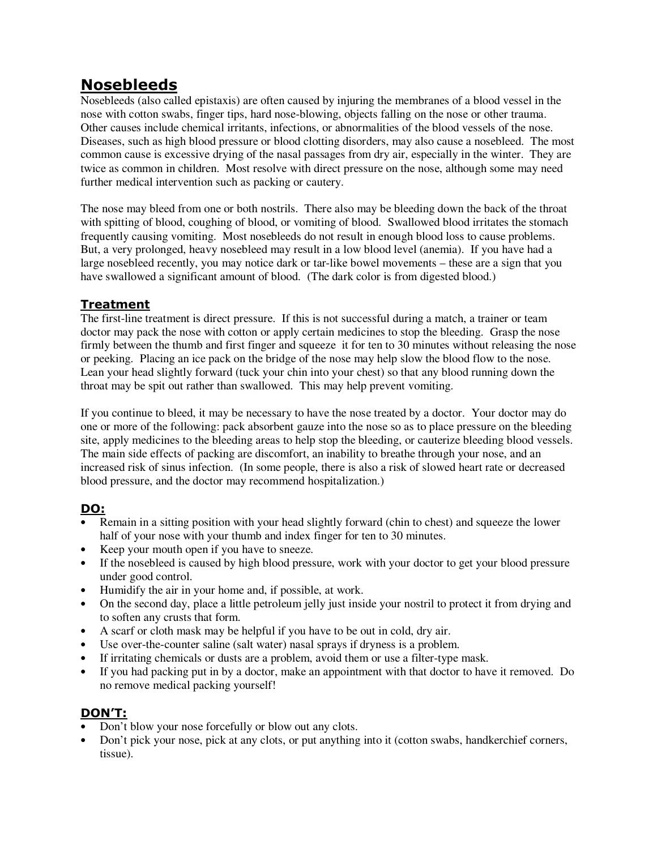# **Nosebleeds**

Nosebleeds (also called epistaxis) are often caused by injuring the membranes of a blood vessel in the nose with cotton swabs, finger tips, hard nose-blowing, objects falling on the nose or other trauma. Other causes include chemical irritants, infections, or abnormalities of the blood vessels of the nose. Diseases, such as high blood pressure or blood clotting disorders, may also cause a nosebleed. The most common cause is excessive drying of the nasal passages from dry air, especially in the winter. They are twice as common in children. Most resolve with direct pressure on the nose, although some may need further medical intervention such as packing or cautery.

The nose may bleed from one or both nostrils. There also may be bleeding down the back of the throat with spitting of blood, coughing of blood, or vomiting of blood. Swallowed blood irritates the stomach frequently causing vomiting. Most nosebleeds do not result in enough blood loss to cause problems. But, a very prolonged, heavy nosebleed may result in a low blood level (anemia). If you have had a large nosebleed recently, you may notice dark or tar-like bowel movements – these are a sign that you have swallowed a significant amount of blood. (The dark color is from digested blood.)

## **Treatment**

The first-line treatment is direct pressure. If this is not successful during a match, a trainer or team doctor may pack the nose with cotton or apply certain medicines to stop the bleeding. Grasp the nose firmly between the thumb and first finger and squeeze it for ten to 30 minutes without releasing the nose or peeking. Placing an ice pack on the bridge of the nose may help slow the blood flow to the nose. Lean your head slightly forward (tuck your chin into your chest) so that any blood running down the throat may be spit out rather than swallowed. This may help prevent vomiting.

If you continue to bleed, it may be necessary to have the nose treated by a doctor. Your doctor may do one or more of the following: pack absorbent gauze into the nose so as to place pressure on the bleeding site, apply medicines to the bleeding areas to help stop the bleeding, or cauterize bleeding blood vessels. The main side effects of packing are discomfort, an inability to breathe through your nose, and an increased risk of sinus infection. (In some people, there is also a risk of slowed heart rate or decreased blood pressure, and the doctor may recommend hospitalization.)

## **DO:**

- Remain in a sitting position with your head slightly forward (chin to chest) and squeeze the lower half of your nose with your thumb and index finger for ten to 30 minutes.
- Keep your mouth open if you have to sneeze.
- If the nosebleed is caused by high blood pressure, work with your doctor to get your blood pressure under good control.
- Humidify the air in your home and, if possible, at work.
- On the second day, place a little petroleum jelly just inside your nostril to protect it from drying and to soften any crusts that form.
- A scarf or cloth mask may be helpful if you have to be out in cold, dry air.
- Use over-the-counter saline (salt water) nasal sprays if dryness is a problem.
- If irritating chemicals or dusts are a problem, avoid them or use a filter-type mask.
- If you had packing put in by a doctor, make an appointment with that doctor to have it removed. Do no remove medical packing yourself!

## **DON'T:**

- Don't blow your nose forcefully or blow out any clots.
- Don't pick your nose, pick at any clots, or put anything into it (cotton swabs, handkerchief corners, tissue).